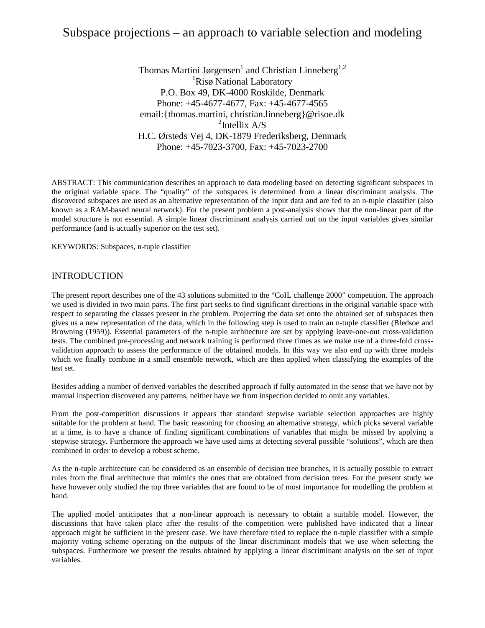# Subspace projections – an approach to variable selection and modeling

Thomas Martini Jørgensen<sup>1</sup> and Christian Linneberg<sup>1,2</sup> <sup>1</sup>Risø National Laboratory P.O. Box 49, DK-4000 Roskilde, Denmark Phone: +45-4677-4677, Fax: +45-4677-4565 email:{thomas.martini, christian.linneberg}@risoe.dk  $2$ Intellix A/S H.C. Ørsteds Vej 4, DK-1879 Frederiksberg, Denmark Phone: +45-7023-3700, Fax: +45-7023-2700

ABSTRACT: This communication describes an approach to data modeling based on detecting significant subspaces in the original variable space. The "quality" of the subspaces is determined from a linear discriminant analysis. The discovered subspaces are used as an alternative representation of the input data and are fed to an n-tuple classifier (also known as a RAM-based neural network). For the present problem a post-analysis shows that the non-linear part of the model structure is not essential. A simple linear discriminant analysis carried out on the input variables gives similar performance (and is actually superior on the test set).

KEYWORDS: Subspaces, n-tuple classifier

# INTRODUCTION

The present report describes one of the 43 solutions submitted to the "CoIL challenge 2000" competition. The approach we used is divided in two main parts. The first part seeks to find significant directions in the original variable space with respect to separating the classes present in the problem. Projecting the data set onto the obtained set of subspaces then gives us a new representation of the data, which in the following step is used to train an n-tuple classifier (Bledsoe and Browning (1959)). Essential parameters of the n-tuple architecture are set by applying leave-one-out cross-validation tests. The combined pre-processing and network training is performed three times as we make use of a three-fold crossvalidation approach to assess the performance of the obtained models. In this way we also end up with three models which we finally combine in a small ensemble network, which are then applied when classifying the examples of the test set.

Besides adding a number of derived variables the described approach if fully automated in the sense that we have not by manual inspection discovered any patterns, neither have we from inspection decided to omit any variables.

From the post-competition discussions it appears that standard stepwise variable selection approaches are highly suitable for the problem at hand. The basic reasoning for choosing an alternative strategy, which picks several variable at a time, is to have a chance of finding significant combinations of variables that might be missed by applying a stepwise strategy. Furthermore the approach we have used aims at detecting several possible "solutions", which are then combined in order to develop a robust scheme.

As the n-tuple architecture can be considered as an ensemble of decision tree branches, it is actually possible to extract rules from the final architecture that mimics the ones that are obtained from decision trees. For the present study we have however only studied the top three variables that are found to be of most importance for modelling the problem at hand.

The applied model anticipates that a non-linear approach is necessary to obtain a suitable model. However, the discussions that have taken place after the results of the competition were published have indicated that a linear approach might be sufficient in the present case. We have therefore tried to replace the n-tuple classifier with a simple majority voting scheme operating on the outputs of the linear discriminant models that we use when selecting the subspaces. Furthermore we present the results obtained by applying a linear discriminant analysis on the set of input variables.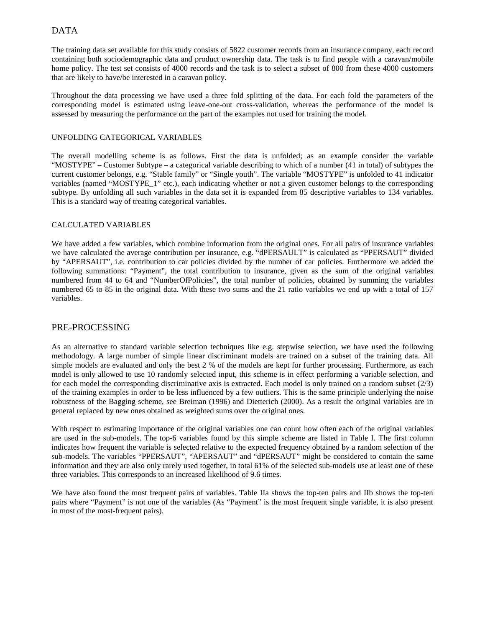# DATA

The training data set available for this study consists of 5822 customer records from an insurance company, each record containing both sociodemographic data and product ownership data. The task is to find people with a caravan/mobile home policy. The test set consists of 4000 records and the task is to select a subset of 800 from these 4000 customers that are likely to have/be interested in a caravan policy.

Throughout the data processing we have used a three fold splitting of the data. For each fold the parameters of the corresponding model is estimated using leave-one-out cross-validation, whereas the performance of the model is assessed by measuring the performance on the part of the examples not used for training the model.

#### UNFOLDING CATEGORICAL VARIABLES

The overall modelling scheme is as follows. First the data is unfolded; as an example consider the variable "MOSTYPE" – Customer Subtype – a categorical variable describing to which of a number (41 in total) of subtypes the current customer belongs, e.g. "Stable family" or "Single youth". The variable "MOSTYPE" is unfolded to 41 indicator variables (named "MOSTYPE\_1" etc.), each indicating whether or not a given customer belongs to the corresponding subtype. By unfolding all such variables in the data set it is expanded from 85 descriptive variables to 134 variables. This is a standard way of treating categorical variables.

#### CALCULATED VARIABLES

We have added a few variables, which combine information from the original ones. For all pairs of insurance variables we have calculated the average contribution per insurance, e.g. "dPERSAULT" is calculated as "PPERSAUT" divided by "APERSAUT", i.e. contribution to car policies divided by the number of car policies. Furthermore we added the following summations: "Payment", the total contribution to insurance, given as the sum of the original variables numbered from 44 to 64 and "NumberOfPolicies", the total number of policies, obtained by summing the variables numbered 65 to 85 in the original data. With these two sums and the 21 ratio variables we end up with a total of 157 variables.

### PRE-PROCESSING

As an alternative to standard variable selection techniques like e.g. stepwise selection, we have used the following methodology. A large number of simple linear discriminant models are trained on a subset of the training data. All simple models are evaluated and only the best 2 % of the models are kept for further processing. Furthermore, as each model is only allowed to use 10 randomly selected input, this scheme is in effect performing a variable selection, and for each model the corresponding discriminative axis is extracted. Each model is only trained on a random subset (2/3) of the training examples in order to be less influenced by a few outliers. This is the same principle underlying the noise robustness of the Bagging scheme, see Breiman (1996) and Dietterich (2000). As a result the original variables are in general replaced by new ones obtained as weighted sums over the original ones.

With respect to estimating importance of the original variables one can count how often each of the original variables are used in the sub-models. The top-6 variables found by this simple scheme are listed in Table I. The first column indicates how frequent the variable is selected relative to the expected frequency obtained by a random selection of the sub-models. The variables "PPERSAUT", "APERSAUT" and "dPERSAUT" might be considered to contain the same information and they are also only rarely used together, in total 61% of the selected sub-models use at least one of these three variables. This corresponds to an increased likelihood of 9.6 times.

We have also found the most frequent pairs of variables. Table IIa shows the top-ten pairs and IIb shows the top-ten pairs where "Payment" is not one of the variables (As "Payment" is the most frequent single variable, it is also present in most of the most-frequent pairs).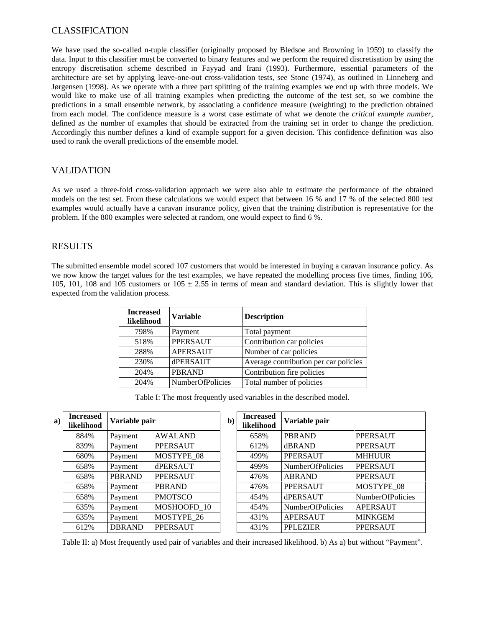# CLASSIFICATION

We have used the so-called n-tuple classifier (originally proposed by Bledsoe and Browning in 1959) to classify the data. Input to this classifier must be converted to binary features and we perform the required discretisation by using the entropy discretisation scheme described in Fayyad and Irani (1993). Furthermore, essential parameters of the architecture are set by applying leave-one-out cross-validation tests, see Stone (1974), as outlined in Linneberg and Jørgensen (1998). As we operate with a three part splitting of the training examples we end up with three models. We would like to make use of all training examples when predicting the outcome of the test set, so we combine the predictions in a small ensemble network, by associating a confidence measure (weighting) to the prediction obtained from each model. The confidence measure is a worst case estimate of what we denote the *critical example number*, defined as the number of examples that should be extracted from the training set in order to change the prediction. Accordingly this number defines a kind of example support for a given decision. This confidence definition was also used to rank the overall predictions of the ensemble model.

# VALIDATION

As we used a three-fold cross-validation approach we were also able to estimate the performance of the obtained models on the test set. From these calculations we would expect that between 16 % and 17 % of the selected 800 test examples would actually have a caravan insurance policy, given that the training distribution is representative for the problem. If the 800 examples were selected at random, one would expect to find 6 %.

# RESULTS

The submitted ensemble model scored 107 customers that would be interested in buying a caravan insurance policy. As we now know the target values for the test examples, we have repeated the modelling process five times, finding 106, 105, 101, 108 and 105 customers or  $105 \pm 2.55$  in terms of mean and standard deviation. This is slightly lower that expected from the validation process.

| <b>Increased</b><br>likelihood | <b>Variable</b>  | <b>Description</b>                    |
|--------------------------------|------------------|---------------------------------------|
| 798%                           | Payment          | Total payment                         |
| 518%                           | <b>PPERSAUT</b>  | Contribution car policies             |
| 288%                           | <b>APERSAUT</b>  | Number of car policies                |
| 230%                           | dPERSAUT         | Average contribution per car policies |
| 204%                           | <b>PBRAND</b>    | Contribution fire policies            |
| 204%                           | NumberOfPolicies | Total number of policies              |

Table I: The most frequently used variables in the described model.

| $\bf{a})$ | <b>Increased</b><br>likelihood | Variable pair |                 | $\mathbf{b}$ | <b>Increased</b><br>likelihood | Variable pair           |                         |
|-----------|--------------------------------|---------------|-----------------|--------------|--------------------------------|-------------------------|-------------------------|
|           | 884%                           | Payment       | <b>AWALAND</b>  |              | 658%                           | <b>PBRAND</b>           | <b>PPERSAUT</b>         |
|           | 839%                           | Payment       | <b>PPERSAUT</b> |              | 612%                           | dBRAND                  | <b>PPERSAUT</b>         |
|           | 680%                           | Payment       | MOSTYPE 08      |              | 499%                           | <b>PPERSAUT</b>         | <b>MHHUUR</b>           |
|           | 658%                           | Payment       | dPERSAUT        |              | 499%                           | <b>NumberOfPolicies</b> | <b>PPERSAUT</b>         |
|           | 658%                           | <b>PBRAND</b> | <b>PPERSAUT</b> |              | 476%                           | <b>ABRAND</b>           | <b>PPERSAUT</b>         |
|           | 658%                           | Payment       | <b>PBRAND</b>   |              | 476%                           | <b>PPERSAUT</b>         | MOSTYPE_08              |
|           | 658%                           | Payment       | <b>PMOTSCO</b>  |              | 454%                           | dPERSAUT                | <b>NumberOfPolicies</b> |
|           | 635%                           | Payment       | MOSHOOFD 10     |              | 454%                           | NumberOfPolicies        | <b>APERSAUT</b>         |
|           | 635%                           | Payment       | MOSTYPE 26      |              | 431%                           | APERSAUT                | <b>MINKGEM</b>          |
|           | 612%                           | <b>DBRAND</b> | <b>PPERSAUT</b> |              | 431%                           | <b>PPLEZIER</b>         | <b>PPERSAUT</b>         |

Table II: a) Most frequently used pair of variables and their increased likelihood. b) As a) but without "Payment".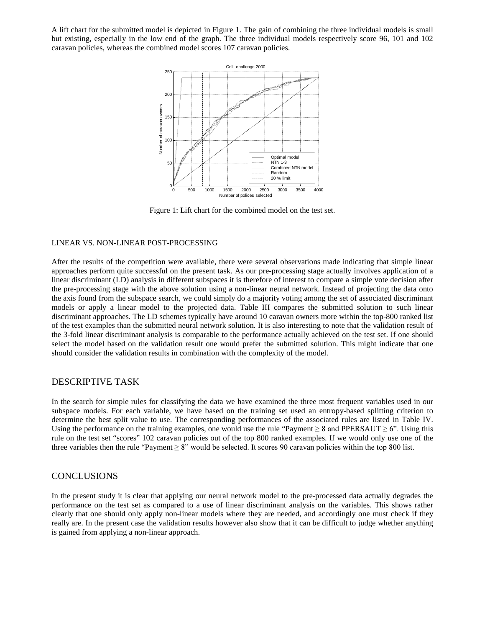A lift chart for the submitted model is depicted in Figure 1. The gain of combining the three individual models is small but existing, especially in the low end of the graph. The three individual models respectively score 96, 101 and 102 caravan policies, whereas the combined model scores 107 caravan policies.



Figure 1: Lift chart for the combined model on the test set.

#### LINEAR VS. NON-LINEAR POST-PROCESSING

After the results of the competition were available, there were several observations made indicating that simple linear approaches perform quite successful on the present task. As our pre-processing stage actually involves application of a linear discriminant (LD) analysis in different subspaces it is therefore of interest to compare a simple vote decision after the pre-processing stage with the above solution using a non-linear neural network. Instead of projecting the data onto the axis found from the subspace search, we could simply do a majority voting among the set of associated discriminant models or apply a linear model to the projected data. Table III compares the submitted solution to such linear discriminant approaches. The LD schemes typically have around 10 caravan owners more within the top-800 ranked list of the test examples than the submitted neural network solution. It is also interesting to note that the validation result of the 3-fold linear discriminant analysis is comparable to the performance actually achieved on the test set. If one should select the model based on the validation result one would prefer the submitted solution. This might indicate that one should consider the validation results in combination with the complexity of the model.

#### DESCRIPTIVE TASK

In the search for simple rules for classifying the data we have examined the three most frequent variables used in our subspace models. For each variable, we have based on the training set used an entropy-based splitting criterion to determine the best split value to use. The corresponding performances of the associated rules are listed in Table IV. Using the performance on the training examples, one would use the rule "Payment  $\geq 8$  and PPERSAUT  $\geq 6$ ". Using this rule on the test set "scores" 102 caravan policies out of the top 800 ranked examples. If we would only use one of the three variables then the rule "Payment  $\geq 8$ " would be selected. It scores 90 caravan policies within the top 800 list.

#### **CONCLUSIONS**

In the present study it is clear that applying our neural network model to the pre-processed data actually degrades the performance on the test set as compared to a use of linear discriminant analysis on the variables. This shows rather clearly that one should only apply non-linear models where they are needed, and accordingly one must check if they really are. In the present case the validation results however also show that it can be difficult to judge whether anything is gained from applying a non-linear approach.